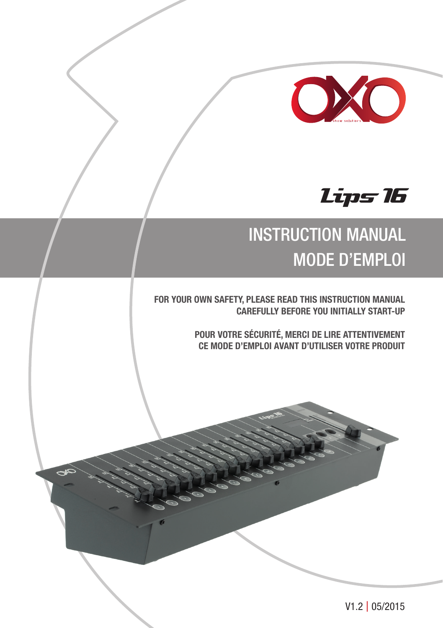

Lips 16

# INSTRUCTION MANUAL MODE D'EMPLOI

FOR YOUR OWN SAFETY, PLEASE READ THIS INSTRUCTION MANUAL CAREFULLY BEFORE YOU INITIALLY START-UP

> POUR VOTRE SÉCURITÉ, MERCI DE LIRE ATTENTIVEMENT CE MODE D'EMPLOI AVANT D'UTILISER VOTRE PRODUIT

> > V1.2 05/2015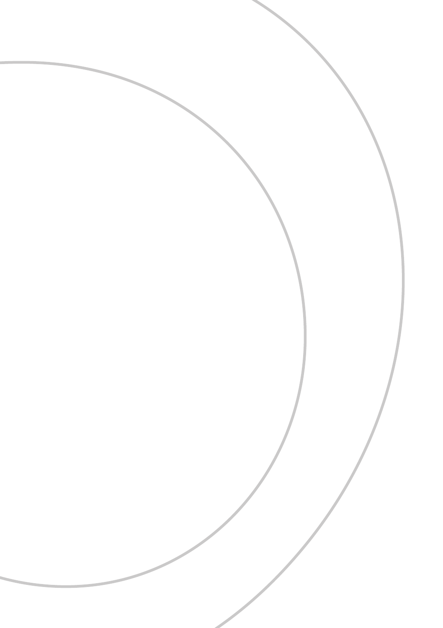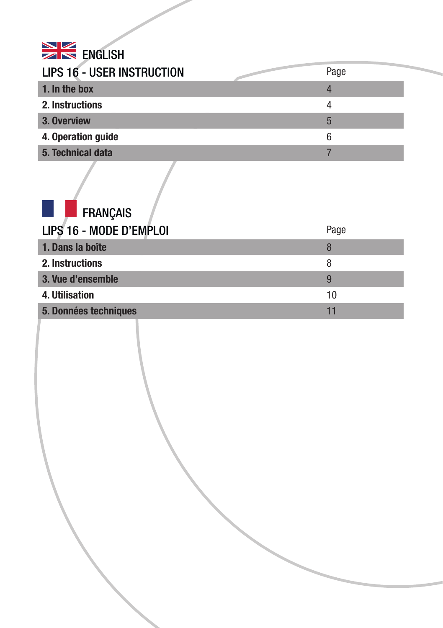| <b>ENGLISH</b>             |      |  |
|----------------------------|------|--|
| LIPS 16 - USER INSTRUCTION | Page |  |
| 1. In the box              | 4    |  |
| 2. Instructions            | 4    |  |
| 3. Overview                | 5    |  |
| 4. Operation guide         | 6    |  |
| 5. Technical data          |      |  |

# FRANÇAIS

| LIPS 16 - MODE D'EMPLOI | Page |
|-------------------------|------|
| 1. Dans la boîte        |      |
| 2. Instructions         |      |
| 3. Vue d'ensemble       | 9    |
| 4. Utilisation          | 10   |
| 5. Données techniques   | 11   |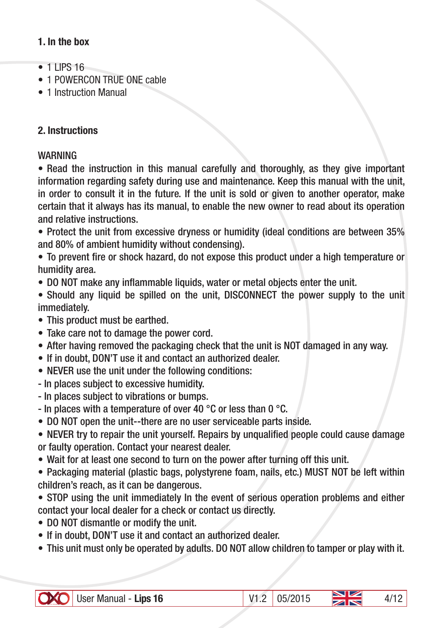#### 1. In the box

- 1 LIPS 16
- 1 POWERCON TRUE ONE cable
- 1 Instruction Manual

## 2. Instructions

#### WARNING

• Read the instruction in this manual carefully and thoroughly, as they give important information regarding safety during use and maintenance. Keep this manual with the unit, in order to consult it in the future. If the unit is sold or given to another operator, make certain that it always has its manual, to enable the new owner to read about its operation and relative instructions.

• Protect the unit from excessive dryness or humidity (ideal conditions are between 35% and 80% of ambient humidity without condensing).

• To prevent fire or shock hazard, do not expose this product under a high temperature or humidity area.

• DO NOT make any inflammable liquids, water or metal objects enter the unit.

- Should any liquid be spilled on the unit, DISCONNECT the power supply to the unit immediately.
- This product must be earthed.
- Take care not to damage the power cord.
- After having removed the packaging check that the unit is NOT damaged in any way.
- If in doubt, DON'T use it and contact an authorized dealer.
- NEVER use the unit under the following conditions:
- In places subject to excessive humidity.
- In places subject to vibrations or bumps.
- In places with a temperature of over 40 °C or less than 0 °C.
- DO NOT open the unit--there are no user serviceable parts inside.
- NEVER try to repair the unit yourself. Repairs by unqualified people could cause damage or faulty operation. Contact your nearest dealer.
- Wait for at least one second to turn on the power after turning off this unit.
- Packaging material (plastic bags, polystyrene foam, nails, etc.) MUST NOT be left within children's reach, as it can be dangerous.
- STOP using the unit immediately In the event of serious operation problems and either contact your local dealer for a check or contact us directly.
- DO NOT dismantle or modify the unit.
- If in doubt, DON'T use it and contact an authorized dealer.
- This unit must only be operated by adults. DO NOT allow children to tamper or play with it.



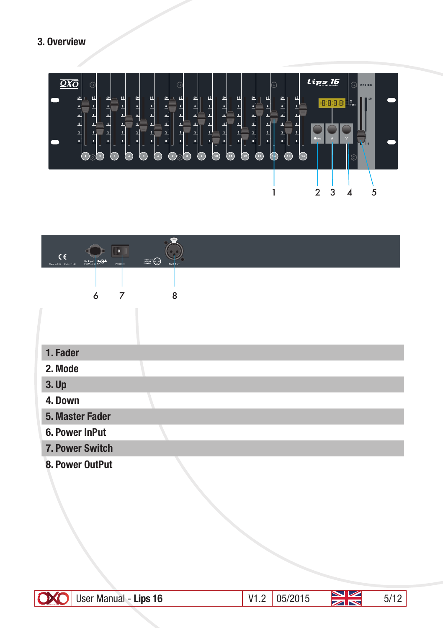# 3. Overview



| $\epsilon$<br>Made in PRC 23-001-1951 | Dr Input:<br>9VDC, 30<br>[ <del>∴</del> ⊙∸ | $\circ$<br>POW <sub>1</sub> | $\begin{picture}(180,10) \put(0,0){\line(1,0){10}} \put(10,0){\line(1,0){10}} \put(10,0){\line(1,0){10}} \put(10,0){\line(1,0){10}} \put(10,0){\line(1,0){10}} \put(10,0){\line(1,0){10}} \put(10,0){\line(1,0){10}} \put(10,0){\line(1,0){10}} \put(10,0){\line(1,0){10}} \put(10,0){\line(1,0){10}} \put(10,0){\line(1,0){10}} \put(10,0){\line($<br><b>DMX</b> DUT |  |  |  |
|---------------------------------------|--------------------------------------------|-----------------------------|-----------------------------------------------------------------------------------------------------------------------------------------------------------------------------------------------------------------------------------------------------------------------------------------------------------------------------------------------------------------------|--|--|--|
|                                       |                                            |                             |                                                                                                                                                                                                                                                                                                                                                                       |  |  |  |
|                                       | 6                                          | 7                           | 8                                                                                                                                                                                                                                                                                                                                                                     |  |  |  |
|                                       |                                            |                             |                                                                                                                                                                                                                                                                                                                                                                       |  |  |  |
| 1. Fader                              |                                            |                             |                                                                                                                                                                                                                                                                                                                                                                       |  |  |  |
| 2. Mode                               |                                            |                             |                                                                                                                                                                                                                                                                                                                                                                       |  |  |  |
| 3. Up                                 |                                            |                             |                                                                                                                                                                                                                                                                                                                                                                       |  |  |  |
| 4. Down                               |                                            |                             |                                                                                                                                                                                                                                                                                                                                                                       |  |  |  |
| 5. Master Fader                       |                                            |                             |                                                                                                                                                                                                                                                                                                                                                                       |  |  |  |
| <b>6. Power InPut</b>                 |                                            |                             |                                                                                                                                                                                                                                                                                                                                                                       |  |  |  |
| 7. Power Switch                       |                                            |                             |                                                                                                                                                                                                                                                                                                                                                                       |  |  |  |
| 8. Power OutPut                       |                                            |                             |                                                                                                                                                                                                                                                                                                                                                                       |  |  |  |



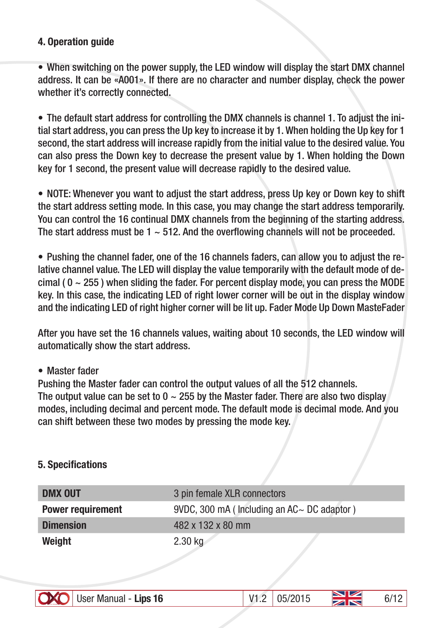#### 4. Operation guide

• When switching on the power supply, the LED window will display the start DMX channel address. It can be «A001». If there are no character and number display, check the power whether it's correctly connected.

• The default start address for controlling the DMX channels is channel 1. To adjust the initial start address, you can press the Up key to increase it by 1. When holding the Up key for 1 second, the start address will increase rapidly from the initial value to the desired value. You can also press the Down key to decrease the present value by 1. When holding the Down key for 1 second, the present value will decrease rapidly to the desired value.

• NOTE: Whenever you want to adjust the start address, press Up key or Down key to shift the start address setting mode. In this case, you may change the start address temporarily. You can control the 16 continual DMX channels from the beginning of the starting address. The start address must be  $1 \sim 512$ . And the overflowing channels will not be proceeded.

• Pushing the channel fader, one of the 16 channels faders, can allow you to adjust the relative channel value. The LED will display the value temporarily with the default mode of decimal ( $0 \sim 255$ ) when sliding the fader. For percent display mode, you can press the MODE key. In this case, the indicating LED of right lower corner will be out in the display window and the indicating LED of right higher corner will be lit up. Fader Mode Up Down MasteFader

After you have set the 16 channels values, waiting about 10 seconds, the LED window will automatically show the start address.

• Master fader

Pushing the Master fader can control the output values of all the 512 channels. The output value can be set to  $0 \sim 255$  by the Master fader. There are also two display modes, including decimal and percent mode. The default mode is decimal mode. And you can shift between these two modes by pressing the mode key.

#### 5. Specifications

| <b>DMX OUT</b>           | 3 pin female XLR connectors                 |
|--------------------------|---------------------------------------------|
| <b>Power requirement</b> | 9VDC, 300 mA (Including an AC ~ DC adaptor) |
| <b>Dimension</b>         | 482 x 132 x 80 mm                           |
| Weight                   | $2.30$ kg                                   |

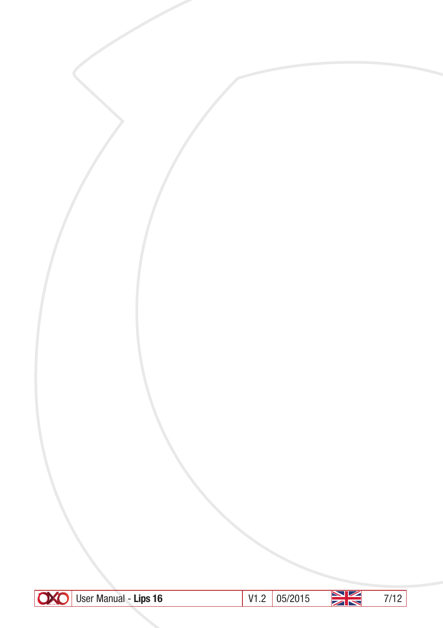

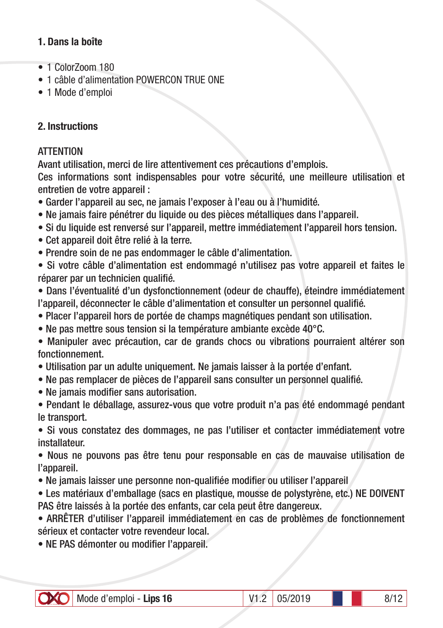#### 1. Dans la boîte

- 1 ColorZoom 180
- 1 câble d'alimentation POWERCON TRUE ONE
- 1 Mode d'emploi

## 2. Instructions

#### **ATTENTION**

Avant utilisation, merci de lire attentivement ces précautions d'emplois.

Ces informations sont indispensables pour votre sécurité, une meilleure utilisation et entretien de votre appareil :

- Garder l'appareil au sec, ne jamais l'exposer à l'eau ou à l'humidité.
- Ne jamais faire pénétrer du liquide ou des pièces métalliques dans l'appareil.
- Si du liquide est renversé sur l'appareil, mettre immédiatement l'appareil hors tension.
- Cet appareil doit être relié à la terre.
- Prendre soin de ne pas endommager le câble d'alimentation.
- Si votre câble d'alimentation est endommagé n'utilisez pas votre appareil et faites le réparer par un technicien qualifié.
- Dans l'éventualité d'un dysfonctionnement (odeur de chauffe), éteindre immédiatement l'appareil, déconnecter le câble d'alimentation et consulter un personnel qualifié.
- Placer l'appareil hors de portée de champs magnétiques pendant son utilisation.
- Ne pas mettre sous tension si la température ambiante excède 40°C.
- Manipuler avec précaution, car de grands chocs ou vibrations pourraient altérer son fonctionnement.
- Utilisation par un adulte uniquement. Ne jamais laisser à la portée d'enfant.
- Ne pas remplacer de pièces de l'appareil sans consulter un personnel qualifié.
- Ne jamais modifier sans autorisation.
- Pendant le déballage, assurez-vous que votre produit n'a pas été endommagé pendant le transport.

• Si vous constatez des dommages, ne pas l'utiliser et contacter immédiatement votre installateur.

• Nous ne pouvons pas être tenu pour responsable en cas de mauvaise utilisation de l'appareil.

- Ne jamais laisser une personne non-qualifiée modifier ou utiliser l'appareil
- Les matériaux d'emballage (sacs en plastique, mousse de polystyrène, etc.) NE DOIVENT PAS être laissés à la portée des enfants, car cela peut être dangereux.

• ARRÊTER d'utiliser l'appareil immédiatement en cas de problèmes de fonctionnement sérieux et contacter votre revendeur local.

• NE PAS démonter ou modifier l'appareil.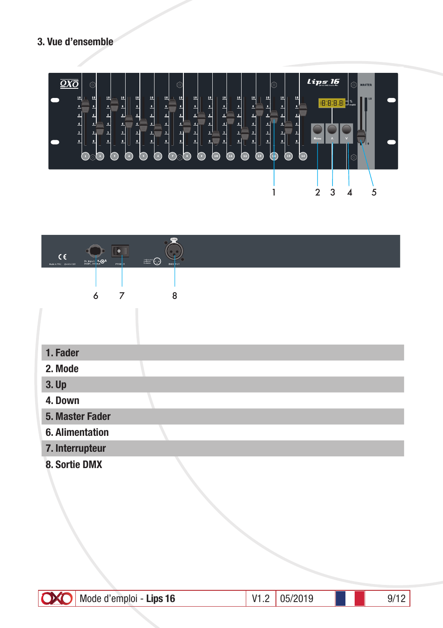# 3. Vue d'ensemble



| $\epsilon$<br>Made in PRC 230031951 | Pring in <b>O</b> <sup>2</sup> | $\circ$<br>POWE | $\begin{picture}(120,115) \put(0,0){\line(1,0){15}} \put(15,0){\line(1,0){15}} \put(15,0){\line(1,0){15}} \put(15,0){\line(1,0){15}} \put(15,0){\line(1,0){15}} \put(15,0){\line(1,0){15}} \put(15,0){\line(1,0){15}} \put(15,0){\line(1,0){15}} \put(15,0){\line(1,0){15}} \put(15,0){\line(1,0){15}} \put(15,0){\line(1,0){15}} \put(15,0){\line$<br><b>DMX</b> DUT |  |  |  |
|-------------------------------------|--------------------------------|-----------------|-----------------------------------------------------------------------------------------------------------------------------------------------------------------------------------------------------------------------------------------------------------------------------------------------------------------------------------------------------------------------|--|--|--|
|                                     |                                |                 |                                                                                                                                                                                                                                                                                                                                                                       |  |  |  |
|                                     | 6                              | 7               | 8                                                                                                                                                                                                                                                                                                                                                                     |  |  |  |
|                                     |                                |                 |                                                                                                                                                                                                                                                                                                                                                                       |  |  |  |
|                                     |                                |                 |                                                                                                                                                                                                                                                                                                                                                                       |  |  |  |
| 1. Fader                            |                                |                 |                                                                                                                                                                                                                                                                                                                                                                       |  |  |  |
|                                     |                                |                 |                                                                                                                                                                                                                                                                                                                                                                       |  |  |  |
| 2. Mode                             |                                |                 |                                                                                                                                                                                                                                                                                                                                                                       |  |  |  |
| 3. Up                               |                                |                 |                                                                                                                                                                                                                                                                                                                                                                       |  |  |  |
| 4. Down                             |                                |                 |                                                                                                                                                                                                                                                                                                                                                                       |  |  |  |
| 5. Master Fader                     |                                |                 |                                                                                                                                                                                                                                                                                                                                                                       |  |  |  |
| <b>6. Alimentation</b>              |                                |                 |                                                                                                                                                                                                                                                                                                                                                                       |  |  |  |
| 7. Interrupteur                     |                                |                 |                                                                                                                                                                                                                                                                                                                                                                       |  |  |  |
| 8. Sortie DMX                       |                                |                 |                                                                                                                                                                                                                                                                                                                                                                       |  |  |  |

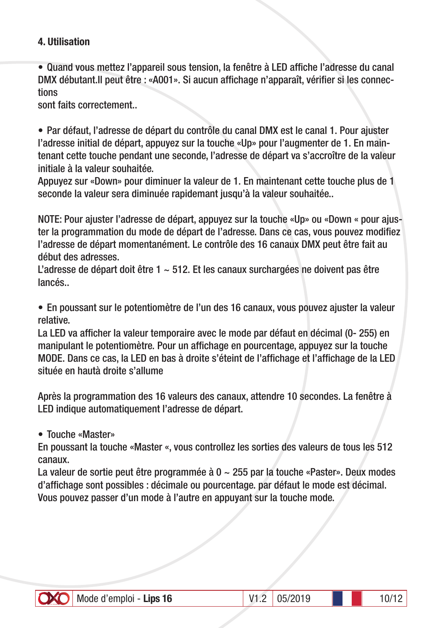#### 4. Utilisation

• Quand vous mettez l'appareil sous tension, la fenêtre à LED affiche l'adresse du canal DMX débutant.Il peut être : «A001». Si aucun affichage n'apparaît, vérifier si les connections

sont faits correctement

• Par défaut, l'adresse de départ du contrôle du canal DMX est le canal 1. Pour ajuster l'adresse initial de départ, appuyez sur la touche «Up» pour l'augmenter de 1. En maintenant cette touche pendant une seconde, l'adresse de départ va s'accroître de la valeur initiale à la valeur souhaitée.

Appuyez sur «Down» pour diminuer la valeur de 1. En maintenant cette touche plus de 1 seconde la valeur sera diminuée rapidemant jusqu'à la valeur souhaitée..

NOTE: Pour ajuster l'adresse de départ, appuyez sur la touche «Up» ou «Down « pour ajuster la programmation du mode de départ de l'adresse. Dans ce cas, vous pouvez modifiez l'adresse de départ momentanément. Le contrôle des 16 canaux DMX peut être fait au début des adresses.

L'adresse de départ doit être 1 ~ 512. Et les canaux surchargées ne doivent pas être lancés..

• En poussant sur le potentiomètre de l'un des 16 canaux, vous pouvez ajuster la valeur relative.

La LED va afficher la valeur temporaire avec le mode par défaut en décimal (0- 255) en manipulant le potentiomètre. Pour un affichage en pourcentage, appuyez sur la touche MODE. Dans ce cas, la LED en bas à droite s'éteint de l'affichage et l'affichage de la LED située en hautà droite s'allume

Après la programmation des 16 valeurs des canaux, attendre 10 secondes. La fenêtre à LED indique automatiquement l'adresse de départ.

• Touche «Master»

En poussant la touche «Master «, vous controllez les sorties des valeurs de tous les 512 canaux.

La valeur de sortie peut être programmée à  $0 \sim 255$  par la touche «Paster». Deux modes d'affichage sont possibles : décimale ou pourcentage. par défaut le mode est décimal. Vous pouvez passer d'un mode à l'autre en appuyant sur la touche mode.

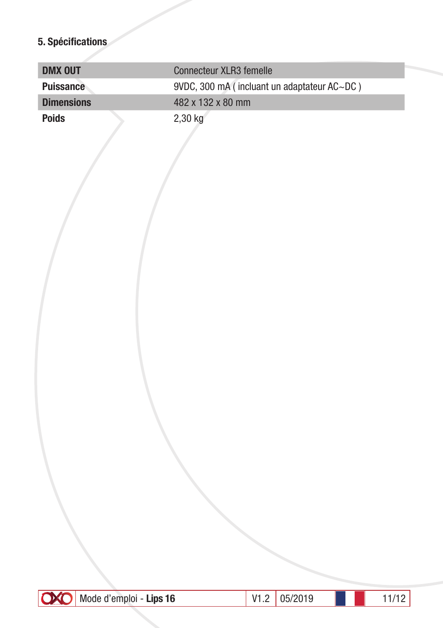# 5. Spécifications

| <b>DMX OUT</b>    |                         | Connecteur XLR3 femelle                     |      |         |       |
|-------------------|-------------------------|---------------------------------------------|------|---------|-------|
| <b>Puissance</b>  |                         | 9VDC, 300 mA (incluant un adaptateur AC~DC) |      |         |       |
| <b>Dimensions</b> |                         | 482 x 132 x 80 mm                           |      |         |       |
| <b>Poids</b>      |                         | 2,30 kg                                     |      |         |       |
|                   |                         |                                             |      |         |       |
|                   | Mode d'emploi - Lips 16 |                                             | V1.2 | 05/2019 | 11/12 |